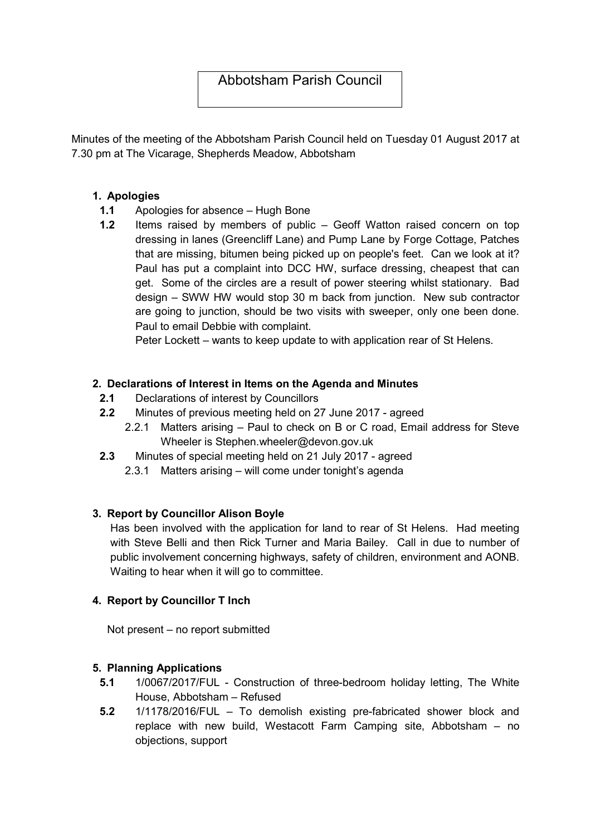# Abbotsham Parish Council

Minutes of the meeting of the Abbotsham Parish Council held on Tuesday 01 August 2017 at 7.30 pm at The Vicarage, Shepherds Meadow, Abbotsham

# 1. Apologies

- 1.1 Apologies for absence Hugh Bone
- 1.2 Items raised by members of public Geoff Watton raised concern on top dressing in lanes (Greencliff Lane) and Pump Lane by Forge Cottage, Patches that are missing, bitumen being picked up on people's feet. Can we look at it? Paul has put a complaint into DCC HW, surface dressing, cheapest that can get. Some of the circles are a result of power steering whilst stationary. Bad design – SWW HW would stop 30 m back from junction. New sub contractor are going to junction, should be two visits with sweeper, only one been done. Paul to email Debbie with complaint.

Peter Lockett – wants to keep update to with application rear of St Helens.

# 2. Declarations of Interest in Items on the Agenda and Minutes

- 2.1 Declarations of interest by Councillors
- 2.2 Minutes of previous meeting held on 27 June 2017 agreed
	- 2.2.1 Matters arising Paul to check on B or C road, Email address for Steve Wheeler is Stephen.wheeler@devon.gov.uk
- 2.3 Minutes of special meeting held on 21 July 2017 agreed
	- 2.3.1 Matters arising will come under tonight's agenda

### 3. Report by Councillor Alison Boyle

Has been involved with the application for land to rear of St Helens. Had meeting with Steve Belli and then Rick Turner and Maria Bailey. Call in due to number of public involvement concerning highways, safety of children, environment and AONB. Waiting to hear when it will go to committee.

### 4. Report by Councillor T Inch

Not present – no report submitted

### 5. Planning Applications

- 5.1 1/0067/2017/FUL Construction of three-bedroom holiday letting, The White House, Abbotsham – Refused
- 5.2 1/1178/2016/FUL To demolish existing pre-fabricated shower block and replace with new build, Westacott Farm Camping site, Abbotsham – no objections, support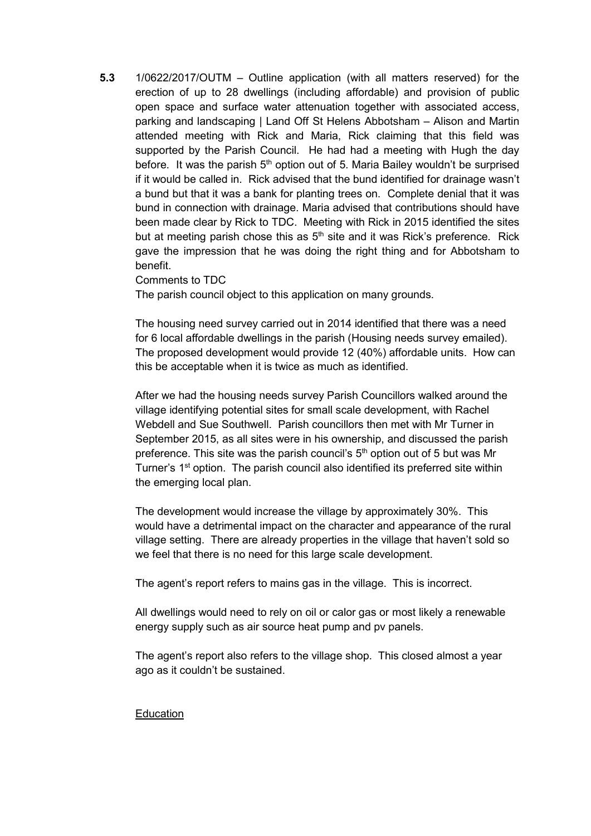5.3 1/0622/2017/OUTM – Outline application (with all matters reserved) for the erection of up to 28 dwellings (including affordable) and provision of public open space and surface water attenuation together with associated access, parking and landscaping | Land Off St Helens Abbotsham – Alison and Martin attended meeting with Rick and Maria, Rick claiming that this field was supported by the Parish Council. He had had a meeting with Hugh the day before. It was the parish  $5<sup>th</sup>$  option out of 5. Maria Bailey wouldn't be surprised if it would be called in. Rick advised that the bund identified for drainage wasn't a bund but that it was a bank for planting trees on. Complete denial that it was bund in connection with drainage. Maria advised that contributions should have been made clear by Rick to TDC. Meeting with Rick in 2015 identified the sites but at meeting parish chose this as  $5<sup>th</sup>$  site and it was Rick's preference. Rick gave the impression that he was doing the right thing and for Abbotsham to benefit.

#### Comments to TDC

The parish council object to this application on many grounds.

The housing need survey carried out in 2014 identified that there was a need for 6 local affordable dwellings in the parish (Housing needs survey emailed). The proposed development would provide 12 (40%) affordable units. How can this be acceptable when it is twice as much as identified.

After we had the housing needs survey Parish Councillors walked around the village identifying potential sites for small scale development, with Rachel Webdell and Sue Southwell. Parish councillors then met with Mr Turner in September 2015, as all sites were in his ownership, and discussed the parish preference. This site was the parish council's  $5<sup>th</sup>$  option out of 5 but was Mr Turner's 1<sup>st</sup> option. The parish council also identified its preferred site within the emerging local plan.

The development would increase the village by approximately 30%. This would have a detrimental impact on the character and appearance of the rural village setting. There are already properties in the village that haven't sold so we feel that there is no need for this large scale development.

The agent's report refers to mains gas in the village. This is incorrect.

All dwellings would need to rely on oil or calor gas or most likely a renewable energy supply such as air source heat pump and pv panels.

The agent's report also refers to the village shop. This closed almost a year ago as it couldn't be sustained.

#### **Education**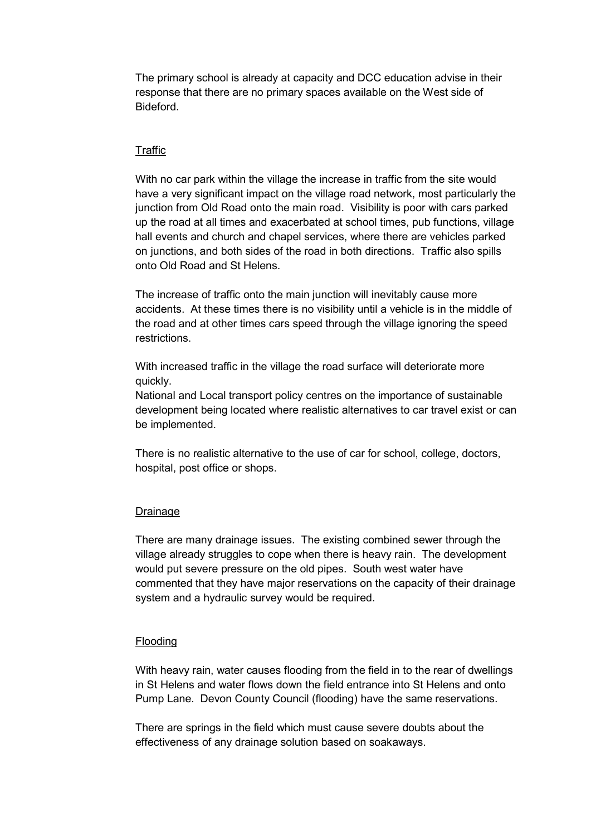The primary school is already at capacity and DCC education advise in their response that there are no primary spaces available on the West side of Bideford.

### **Traffic**

With no car park within the village the increase in traffic from the site would have a very significant impact on the village road network, most particularly the junction from Old Road onto the main road. Visibility is poor with cars parked up the road at all times and exacerbated at school times, pub functions, village hall events and church and chapel services, where there are vehicles parked on junctions, and both sides of the road in both directions. Traffic also spills onto Old Road and St Helens.

The increase of traffic onto the main junction will inevitably cause more accidents. At these times there is no visibility until a vehicle is in the middle of the road and at other times cars speed through the village ignoring the speed restrictions.

With increased traffic in the village the road surface will deteriorate more quickly.

National and Local transport policy centres on the importance of sustainable development being located where realistic alternatives to car travel exist or can be implemented.

There is no realistic alternative to the use of car for school, college, doctors, hospital, post office or shops.

#### Drainage

There are many drainage issues. The existing combined sewer through the village already struggles to cope when there is heavy rain. The development would put severe pressure on the old pipes. South west water have commented that they have major reservations on the capacity of their drainage system and a hydraulic survey would be required.

#### Flooding

With heavy rain, water causes flooding from the field in to the rear of dwellings in St Helens and water flows down the field entrance into St Helens and onto Pump Lane. Devon County Council (flooding) have the same reservations.

There are springs in the field which must cause severe doubts about the effectiveness of any drainage solution based on soakaways.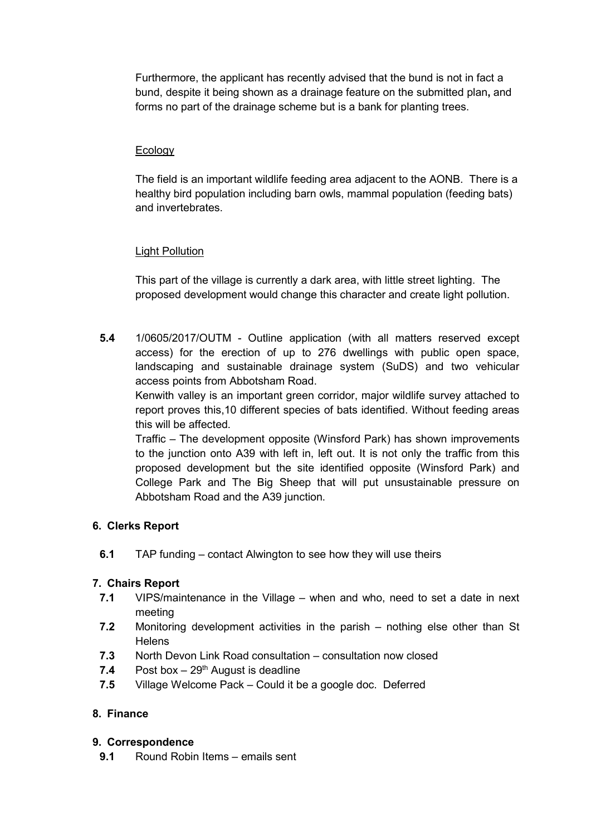Furthermore, the applicant has recently advised that the bund is not in fact a bund, despite it being shown as a drainage feature on the submitted plan, and forms no part of the drainage scheme but is a bank for planting trees.

# **Ecology**

The field is an important wildlife feeding area adjacent to the AONB. There is a healthy bird population including barn owls, mammal population (feeding bats) and invertebrates.

# **Light Pollution**

This part of the village is currently a dark area, with little street lighting. The proposed development would change this character and create light pollution.

5.4 1/0605/2017/OUTM - Outline application (with all matters reserved except access) for the erection of up to 276 dwellings with public open space, landscaping and sustainable drainage system (SuDS) and two vehicular access points from Abbotsham Road.

Kenwith valley is an important green corridor, major wildlife survey attached to report proves this,10 different species of bats identified. Without feeding areas this will be affected.

Traffic – The development opposite (Winsford Park) has shown improvements to the junction onto A39 with left in, left out. It is not only the traffic from this proposed development but the site identified opposite (Winsford Park) and College Park and The Big Sheep that will put unsustainable pressure on Abbotsham Road and the A39 junction.

# 6. Clerks Report

6.1 TAP funding – contact Alwington to see how they will use theirs

# 7. Chairs Report

- 7.1 VIPS/maintenance in the Village when and who, need to set a date in next meeting
- 7.2 Monitoring development activities in the parish nothing else other than St **Helens**
- 7.3 North Devon Link Road consultation consultation now closed
- 7.4 Post box  $-29<sup>th</sup>$  August is deadline
- 7.5 Village Welcome Pack Could it be a google doc. Deferred

### 8. Finance

### 9. Correspondence

9.1 Round Robin Items – emails sent